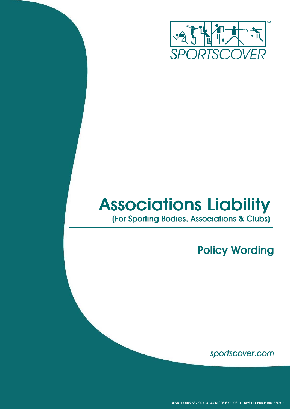

# **Associations Liability** (For Sporting Bodies, Associations & Clubs)

**Policy Wording** 

sportscover.com

**ABN** 43 006 637 903 ● **ACN** 006 637 903 ● **AFS LICENCE NO** 230914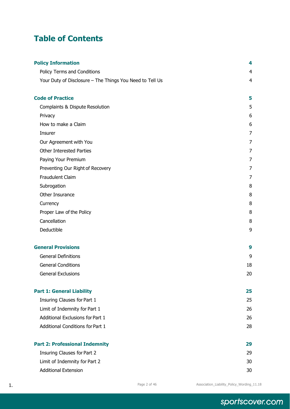# **Table of Contents**

| <b>Policy Information</b>                                | 4  |
|----------------------------------------------------------|----|
| <b>Policy Terms and Conditions</b>                       | 4  |
| Your Duty of Disclosure - The Things You Need to Tell Us | 4  |
| <b>Code of Practice</b>                                  | 5  |
| Complaints & Dispute Resolution                          | 5  |
| Privacy                                                  | 6  |
| How to make a Claim                                      | 6  |
| Insurer                                                  | 7  |
| Our Agreement with You                                   | 7  |
| <b>Other Interested Parties</b>                          | 7  |
| Paying Your Premium                                      | 7  |
| Preventing Our Right of Recovery                         | 7  |
| <b>Fraudulent Claim</b>                                  | 7  |
| Subrogation                                              | 8  |
| Other Insurance                                          | 8  |
| Currency                                                 | 8  |
| Proper Law of the Policy                                 | 8  |
| Cancellation                                             | 8  |
| Deductible                                               | 9  |
| <b>General Provisions</b>                                | 9  |
| <b>General Definitions</b>                               | 9  |
| <b>General Conditions</b>                                | 18 |
| <b>General Exclusions</b>                                | 20 |
| <b>Part 1: General Liability</b>                         | 25 |
| Insuring Clauses for Part 1                              | 25 |
| Limit of Indemnity for Part 1                            | 26 |
| Additional Exclusions for Part 1                         | 26 |
| <b>Additional Conditions for Part 1</b>                  | 28 |
| <b>Part 2: Professional Indemnity</b>                    | 29 |
| <b>Insuring Clauses for Part 2</b>                       | 29 |
| Limit of Indemnity for Part 2                            | 30 |
| <b>Additional Extension</b>                              | 30 |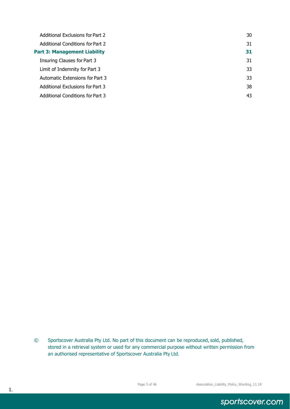| Additional Exclusions for Part 2    | 30 |
|-------------------------------------|----|
| Additional Conditions for Part 2    | 31 |
| <b>Part 3: Management Liability</b> | 31 |
| Insuring Clauses for Part 3         | 31 |
| Limit of Indemnity for Part 3       | 33 |
| Automatic Extensions for Part 3     | 33 |
| Additional Exclusions for Part 3    | 38 |
| Additional Conditions for Part 3    | 43 |

sportscover.com

<sup>©</sup> Sportscover Australia Pty Ltd. No part of this document can be reproduced, sold, published, stored in a retrieval system or used for any commercial purpose without written permission from an authorised representative of Sportscover Australia Pty Ltd.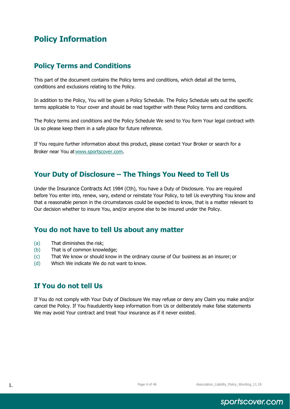# <span id="page-3-0"></span>**Policy Information**

### <span id="page-3-1"></span>**Policy Terms and Conditions**

This part of the document contains the Policy terms and conditions, which detail all the terms, conditions and exclusions relating to the Policy.

In addition to the Policy, You will be given a Policy Schedule. The Policy Schedule sets out the specific terms applicable to Your cover and should be read together with these Policy terms and conditions.

The Policy terms and conditions and the Policy Schedule We send to You form Your legal contract with Us so please keep them in a safe place for future reference.

If You require further information about this product, please contact Your Broker or search for a Broker near You at [www.sportscover.com.](http://www.sportscover.com/)

### <span id="page-3-2"></span>**Your Duty of Disclosure – The Things You Need to Tell Us**

Under the Insurance Contracts Act 1984 (Cth), You have a Duty of Disclosure. You are required before You enter into, renew, vary, extend or reinstate Your Policy, to tell Us everything You know and that a reasonable person in the circumstances could be expected to know, that is a matter relevant to Our decision whether to insure You, and/or anyone else to be insured under the Policy.

### **You do not have to tell Us about any matter**

- (a) That diminishes the risk;
- (b) That is of common knowledge;
- (c) That We know or should know in the ordinary course of Our business as an insurer; or
- (d) Which We indicate We do not want to know.

### **If You do not tell Us**

If You do not comply with Your Duty of Disclosure We may refuse or deny any Claim you make and/or cancel the Policy. If You fraudulently keep information from Us or deliberately make false statements We may avoid Your contract and treat Your insurance as if it never existed.

sportscover.com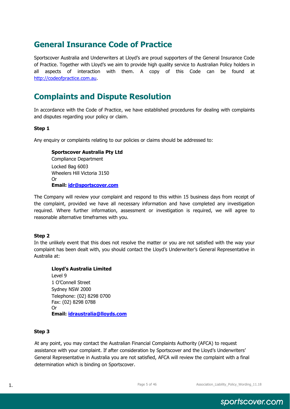# <span id="page-4-0"></span>**General Insurance Code of Practice**

Sportscover Australia and Underwriters at Lloyd's are proud supporters of the General Insurance Code of Practice. Together with Lloyd's we aim to provide high quality service to Australian Policy holders in all aspects of interaction with them. A copy of this Code can be found at [http://codeofpractice.com.au.](http://codeofpractice.com.au/)

# **Complaints and Dispute Resolution**

In accordance with the Code of Practice, we have established procedures for dealing with complaints and disputes regarding your policy or claim.

#### **Step 1**

Any enquiry or complaints relating to our policies or claims should be addressed to:

**Sportscover Australia Pty Ltd** Compliance Department Locked Bag 6003 Wheelers Hill Victoria 3150 Or **Email: [idr@sportscover.com](mailto:idr@sportscover.com)**

The Company will review your complaint and respond to this within 15 business days from receipt of the complaint, provided we have all necessary information and have completed any investigation required. Where further information, assessment or investigation is required, we will agree to reasonable alternative timeframes with you.

#### **Step 2**

In the unlikely event that this does not resolve the matter or you are not satisfied with the way your complaint has been dealt with, you should contact the Lloyd's Underwriter's General Representative in Australia at:

**Lloyd's Australia Limited** Level 9 1 O'Connell Street Sydney NSW 2000 Telephone: (02) 8298 0700 Fax: (02) 8298 0788 Or **Email: [idraustralia@lloyds.com](mailto:idraustralia@lloyds.com)**

#### **Step 3**

At any point, you may contact the Australian Financial Complaints Authority (AFCA) to request assistance with your complaint. If after consideration by Sportscover and the Lloyd's Underwriters' General Representative in Australia you are not satisfied, AFCA will review the complaint with a final determination which is binding on Sportscover.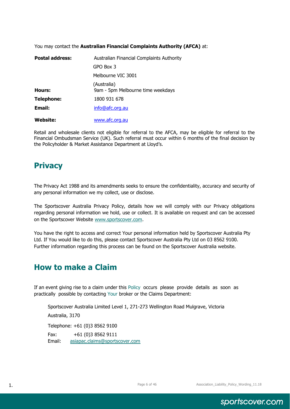You may contact the **Australian Financial Complaints Authority (AFCA)** at:

| <b>Postal address:</b> | Australian Financial Complaints Authority        |
|------------------------|--------------------------------------------------|
|                        | GPO Box 3                                        |
|                        | Melbourne VIC 3001                               |
| Hours:                 | (Australia)<br>9am - 5pm Melbourne time weekdays |
| <b>Telephone:</b>      | 1800 931 678                                     |
| Email:                 | info@afc.org.au                                  |
| <b>Website:</b>        | www.afc.org.au                                   |

Retail and wholesale clients not eligible for referral to the AFCA, may be eligible for referral to the Financial Ombudsman Service (UK). Such referral must occur within 6 months of the final decision by the Policyholder & Market Assistance Department at Lloyd's.

# **Privacy**

The Privacy Act 1988 and its amendments seeks to ensure the confidentiality, accuracy and security of any personal information we my collect, use or disclose.

The Sportscover Australia Privacy Policy, details how we will comply with our Privacy obligations regarding personal information we hold, use or collect. It is available on request and can be accessed on the Sportscover Website [www.sportscover.com.](http://www.sportscover.com/)

You have the right to access and correct Your personal information held by Sportscover Australia Pty Ltd. If You would like to do this, please contact Sportscover Australia Pty Ltd on 03 8562 9100. Further information regarding this process can be found on the Sportscover Australia website.

# **How to make a Claim**

If an event giving rise to a claim under this Policy occurs please provide details as soon as practically possible by contacting Your broker or the Claims Department:

Sportscover Australia Limited Level 1, 271-273 Wellington Road Mulgrave, Victoria Australia, 3170 Telephone: +61 (0)3 8562 9100 Fax: +61 (0)3 8562 9111 Email: [asiapac.claims@sportscover.com](mailto:asiapac.claims@sportscover.com)

sportscover.com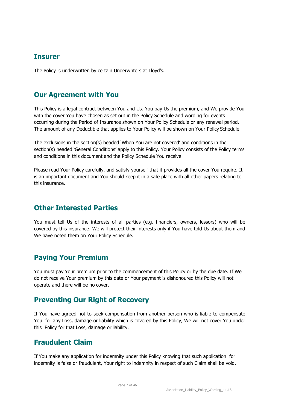### <span id="page-6-1"></span><span id="page-6-0"></span>**Insurer**

The Policy is underwritten by certain Underwriters at Lloyd's.

### <span id="page-6-2"></span>**Our Agreement with You**

This Policy is a legal contract between You and Us. You pay Us the premium, and We provide You with the cover You have chosen as set out in the Policy Schedule and wording for events occurring during the Period of Insurance shown on Your Policy Schedule or any renewal period. The amount of any Deductible that applies to Your Policy will be shown on Your Policy Schedule.

The exclusions in the section(s) headed 'When You are not covered' and conditions in the section(s) headed 'General Conditions' apply to this Policy. Your Policy consists of the Policy terms and conditions in this document and the Policy Schedule You receive.

Please read Your Policy carefully, and satisfy yourself that it provides all the cover You require. It is an important document and You should keep it in a safe place with all other papers relating to this insurance.

### <span id="page-6-3"></span>**Other Interested Parties**

You must tell Us of the interests of all parties (e.g. financiers, owners, lessors) who will be covered by this insurance. We will protect their interests only if You have told Us about them and We have noted them on Your Policy Schedule.

### <span id="page-6-4"></span>**Paying Your Premium**

You must pay Your premium prior to the commencement of this Policy or by the due date. If We do not receive Your premium by this date or Your payment is dishonoured this Policy will not operate and there will be no cover.

### <span id="page-6-5"></span>**Preventing Our Right of Recovery**

If You have agreed not to seek compensation from another person who is liable to compensate You for any Loss, damage or liability which is covered by this Policy, We will not cover You under this Policy for that Loss, damage or liability.

### <span id="page-6-6"></span>**Fraudulent Claim**

<span id="page-6-7"></span>If You make any application for indemnity under this Policy knowing that such application for indemnity is false or fraudulent, Your right to indemnity in respect of such Claim shall be void.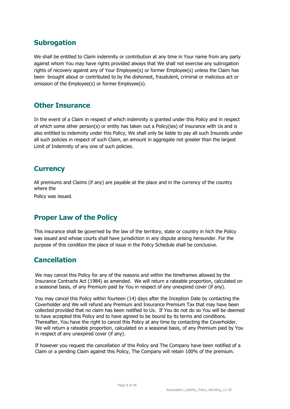### **Subrogation**

We shall be entitled to Claim indemnity or contribution at any time in Your name from any party against whom You may have rights provided always that We shall not exercise any subrogation rights of recovery against any of Your Employee(s) or former Employee(s) unless the Claim has been brought about or contributed to by the dishonest, fraudulent, criminal or malicious act or omission of the Employee(s) or former Employee(s).

### <span id="page-7-0"></span>**Other Insurance**

In the event of a Claim in respect of which indemnity is granted under this Policy and in respect of which some other person(s) or entity has taken out a Policy(ies) of insurance with Us and is also entitled to indemnity under this Policy, We shall only be liable to pay all such Insureds under all such policies in respect of such Claim, an amount in aggregate not greater than the largest Limit of Indemnity of any one of such policies.

### <span id="page-7-1"></span>**Currency**

All premiums and Claims (if any) are payable at the place and in the currency of the country where the

Policy was issued.

### <span id="page-7-2"></span>**Proper Law of the Policy**

This insurance shall be governed by the law of the territory, state or country in hich the Policy was issued and whose courts shall have jurisdiction in any dispute arising hereunder. For the purpose of this condition the place of issue in the Policy Schedule shall be conclusive.

### <span id="page-7-3"></span>**Cancellation**

We may cancel this Policy for any of the reasons and within the timeframes allowed by the Insurance Contracts Act (1984) as amended. We will return a rateable proportion, calculated on a seasonal basis, of any Premium paid by You in respect of any unexpired cover (if any).

You may cancel this Policy within fourteen (14) days after the Inception Date by contacting the Coverholder and We will refund any Premium and Insurance Premium Tax that may have been collected provided that no claim has been notified to Us. If You do not do so You will be deemed to have accepted this Policy and to have agreed to be bound by its terms and conditions. Thereafter, You have the right to cancel this Policy at any time by contacting the Coverholder. We will return a rateable proportion, calculated on a seasonal basis, of any Premium paid by You in respect of any unexpired cover (if any).

<span id="page-7-4"></span>If however you request the cancellation of this Policy and The Company have been notified of a Claim or a pending Claim against this Policy, The Company will retain 100% of the premium.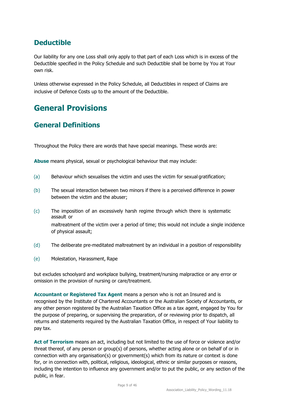# **Deductible**

Our liability for any one Loss shall only apply to that part of each Loss which is in excess of the Deductible specified in the Policy Schedule and such Deductible shall be borne by You at Your own risk.

Unless otherwise expressed in the Policy Schedule, all Deductibles in respect of Claims are inclusive of Defence Costs up to the amount of the Deductible.

# <span id="page-8-0"></span>**General Provisions**

### <span id="page-8-1"></span>**General Definitions**

Throughout the Policy there are words that have special meanings. These words are:

**Abuse** means physical, sexual or psychological behaviour that may include:

- (a) Behaviour which sexualises the victim and uses the victim for sexual gratification;
- (b) The sexual interaction between two minors if there is a perceived difference in power between the victim and the abuser;
- (c) The imposition of an excessively harsh regime through which there is systematic assault or maltreatment of the victim over a period of time; this would not include a single incidence of physical assault;
- (d) The deliberate pre-meditated maltreatment by an individual in a position of responsibility
- (e) Molestation, Harassment, Rape

but excludes schoolyard and workplace bullying, treatment/nursing malpractice or any error or omission in the provision of nursing or care/treatment.

**Accountant or Registered Tax Agent** means a person who is not an Insured and is recognised by the Institute of Chartered Accountants or the Australian Society of Accountants, or any other person registered by the Australian Taxation Office as a tax agent, engaged by You for the purpose of preparing, or supervising the preparation, of or reviewing prior to dispatch, all returns and statements required by the Australian Taxation Office, in respect of Your liability to pay tax.

**Act of Terrorism** means an act, including but not limited to the use of force or violence and/or threat thereof, of any person or group(s) of persons, whether acting alone or on behalf of or in connection with any organisation(s) or government(s) which from its nature or context is done for, or in connection with, political, religious, ideological, ethnic or similar purposes or reasons, including the intention to influence any government and/or to put the public, or any section of the public, in fear.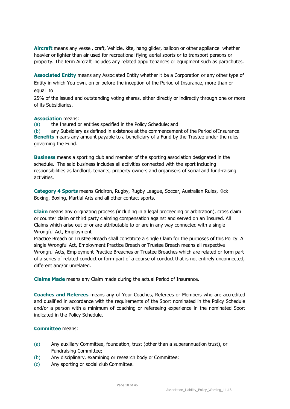**Aircraft** means any vessel, craft, Vehicle, kite, hang glider, balloon or other appliance whether heavier or lighter than air used for recreational flying aerial sports or to transport persons or property. The term Aircraft includes any related appurtenances or equipment such as parachutes.

**Associated Entity** means any Associated Entity whether it be a Corporation or any other type of Entity in which You own, on or before the inception of the Period of Insurance, more than or equal to

25% of the issued and outstanding voting shares, either directly or indirectly through one or more of its Subsidiaries.

#### **Association** means:

(a) the Insured or entities specified in the Policy Schedule; and

(b) any Subsidiary as defined in existence at the commencement of the Period of Insurance. **Benefits** means any amount payable to a beneficiary of a Fund by the Trustee under the rules governing the Fund.

**Business** means a sporting club and member of the sporting association designated in the schedule. The said business includes all activities connected with the sport including responsibilities as landlord, tenants, property owners and organisers of social and fund-raising activities.

**Category 4 Sports** means Gridiron, Rugby, Rugby League, Soccer, Australian Rules, Kick Boxing, Boxing, Martial Arts and all other contact sports.

**Claim** means any originating process (including in a legal proceeding or arbitration), cross claim or counter claim or third party claiming compensation against and served on an Insured. All Claims which arise out of or are attributable to or are in any way connected with a single Wrongful Act, Employment

Practice Breach or Trustee Breach shall constitute a single Claim for the purposes of this Policy. A single Wrongful Act, Employment Practice Breach or Trustee Breach means all respective Wrongful Acts, Employment Practice Breaches or Trustee Breaches which are related or form part of a series of related conduct or form part of a course of conduct that is not entirely unconnected, different and/or unrelated.

**Claims Made** means any Claim made during the actual Period of Insurance.

**Coaches and Referees** means any of Your Coaches, Referees or Members who are accredited and qualified in accordance with the requirements of the Sport nominated in the Policy Schedule and/or a person with a minimum of coaching or refereeing experience in the nominated Sport indicated in the Policy Schedule.

#### **Committee** means:

- (a) Any auxiliary Committee, foundation, trust (other than a superannuation trust), or Fundraising Committee;
- (b) Any disciplinary, examining or research body or Committee;
- (c) Any sporting or social club Committee.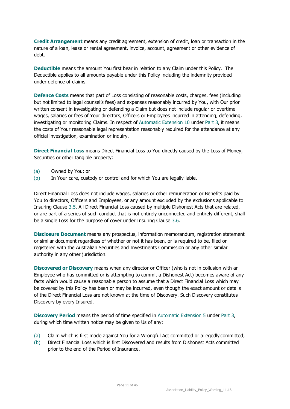**Credit Arrangement** means any credit agreement, extension of credit, loan or transaction in the nature of a loan, lease or rental agreement, invoice, account, agreement or other evidence of debt.

**Deductible** means the amount You first bear in relation to any Claim under this Policy. The Deductible applies to all amounts payable under this Policy including the indemnity provided under defence of claims.

**Defence Costs** means that part of Loss consisting of reasonable costs, charges, fees (including but not limited to legal counsel's fees) and expenses reasonably incurred by You, with Our prior written consent in investigating or defending a Claim but does not include regular or overtime wages, salaries or fees of Your directors, Officers or Employees incurred in attending, defending, investigating or monitoring Claims. In respect of Automatic Extension 10 under Part 3, it means the costs of Your reasonable legal representation reasonably required for the attendance at any official investigation, examination or inquiry.

**Direct Financial Loss** means Direct Financial Loss to You directly caused by the Loss of Money, Securities or other tangible property:

- (a) Owned by You; or
- (b) In Your care, custody or control and for which You are legally liable.

Direct Financial Loss does not include wages, salaries or other remuneration or Benefits paid by You to directors, Officers and Employees, or any amount excluded by the exclusions applicable to Insuring Clause 3.5. All Direct Financial Loss caused by multiple Dishonest Acts that are related, or are part of a series of such conduct that is not entirely unconnected and entirely different, shall be a single Loss for the purpose of cover under Insuring Clause 3.6.

**Disclosure Document** means any prospectus, information memorandum, registration statement or similar document regardless of whether or not it has been, or is required to be, filed or registered with the Australian Securities and Investments Commission or any other similar authority in any other jurisdiction.

**Discovered or Discovery** means when any director or Officer (who is not in collusion with an Employee who has committed or is attempting to commit a Dishonest Act) becomes aware of any facts which would cause a reasonable person to assume that a Direct Financial Loss which may be covered by this Policy has been or may be incurred, even though the exact amount or details of the Direct Financial Loss are not known at the time of Discovery. Such Discovery constitutes Discovery by every Insured.

**Discovery Period** means the period of time specified in Automatic Extension 5 under Part 3, during which time written notice may be given to Us of any:

- (a) Claim which is first made against You for a Wrongful Act committed or allegedly committed;
- (b) Direct Financial Loss which is first Discovered and results from Dishonest Acts committed prior to the end of the Period of Insurance.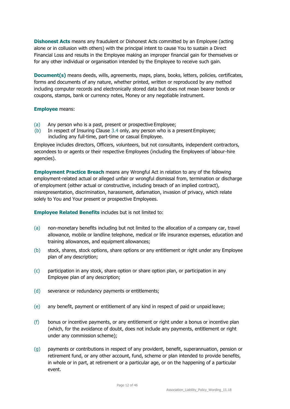**Dishonest Acts** means any fraudulent or Dishonest Acts committed by an Employee (acting alone or in collusion with others) with the principal intent to cause You to sustain a Direct Financial Loss and results in the Employee making an improper financial gain for themselves or for any other individual or organisation intended by the Employee to receive such gain.

**Document(s)** means deeds, wills, agreements, maps, plans, books, letters, policies, certificates, forms and documents of any nature, whether printed, written or reproduced by any method including computer records and electronically stored data but does not mean bearer bonds or coupons, stamps, bank or currency notes, Money or any negotiable instrument.

#### **Employee** means:

- (a) Any person who is a past, present or prospective Employee;
- (b) In respect of Insuring Clause 3.4 only, any person who is a present Employee; including any full-time, part-time or casual Employee.

Employee includes directors, Officers, volunteers, but not consultants, independent contractors, secondees to or agents or their respective Employees (including the Employees of labour-hire agencies).

**Employment Practice Breach** means any Wrongful Act in relation to any of the following employment-related actual or alleged unfair or wrongful dismissal from, termination or discharge of employment (either actual or constructive, including breach of an implied contract), misrepresentation, discrimination, harassment, defamation, invasion of privacy, which relate solely to You and Your present or prospective Employees.

**Employee Related Benefits** includes but is not limited to:

- (a) non-monetary benefits including but not limited to the allocation of a company car, travel allowance, mobile or landline telephone, medical or life insurance expenses, education and training allowances, and equipment allowances;
- (b) stock, shares, stock options, share options or any entitlement or right under any Employee plan of any description;
- (c) participation in any stock, share option or share option plan, or participation in any Employee plan of any description;
- (d) severance or redundancy payments or entitlements;
- (e) any benefit, payment or entitlement of any kind in respect of paid or unpaid leave;
- (f) bonus or incentive payments, or any entitlement or right under a bonus or incentive plan (which, for the avoidance of doubt, does not include any payments, entitlement or right under any commission scheme);
- (g) payments or contributions in respect of any provident, benefit, superannuation, pension or retirement fund, or any other account, fund, scheme or plan intended to provide benefits, in whole or in part, at retirement or a particular age, or on the happening of a particular event.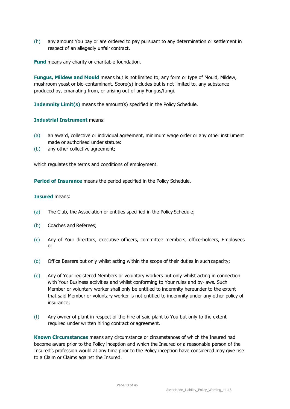(h) any amount You pay or are ordered to pay pursuant to any determination or settlement in respect of an allegedly unfair contract.

**Fund** means any charity or charitable foundation.

**Fungus, Mildew and Mould** means but is not limited to, any form or type of Mould, Mildew, mushroom yeast or bio-contaminant. Spore(s) includes but is not limited to, any substance produced by, emanating from, or arising out of any Fungus/fungi.

**Indemnity Limit(s)** means the amount(s) specified in the Policy Schedule.

#### **Industrial Instrument** means:

- (a) an award, collective or individual agreement, minimum wage order or any other instrument made or authorised under statute:
- (b) any other collective agreement;

which regulates the terms and conditions of employment.

**Period of Insurance** means the period specified in the Policy Schedule.

#### **Insured** means:

- (a) The Club, the Association or entities specified in the Policy Schedule;
- (b) Coaches and Referees;
- (c) Any of Your directors, executive officers, committee members, office-holders, Employees or
- (d) Office Bearers but only whilst acting within the scope of their duties in such capacity;
- (e) Any of Your registered Members or voluntary workers but only whilst acting in connection with Your Business activities and whilst conforming to Your rules and by-laws. Such Member or voluntary worker shall only be entitled to indemnity hereunder to the extent that said Member or voluntary worker is not entitled to indemnity under any other policy of insurance;
- (f) Any owner of plant in respect of the hire of said plant to You but only to the extent required under written hiring contract or agreement.

**Known Circumstances** means any circumstance or circumstances of which the Insured had become aware prior to the Policy inception and which the Insured or a reasonable person of the Insured's profession would at any time prior to the Policy inception have considered may give rise to a Claim or Claims against the Insured.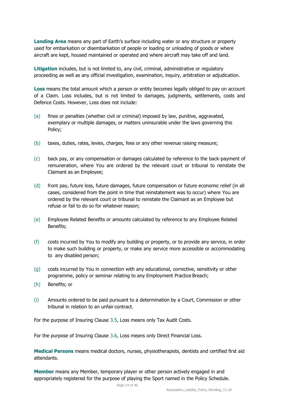**Landing Area** means any part of Earth's surface including water or any structure or property used for embarkation or disembarkation of people or loading or unloading of goods or where aircraft are kept, housed maintained or operated and where aircraft may take off and land.

**Litigation** includes, but is not limited to, any civil, criminal, administrative or regulatory proceeding as well as any official investigation, examination, inquiry, arbitration or adjudication.

**Loss** means the total amount which a person or entity becomes legally obliged to pay on account of a Claim. Loss includes, but is not limited to damages, judgments, settlements, costs and Defence Costs. However, Loss does not include:

- (a) fines or penalties (whether civil or criminal) imposed by law, punitive, aggravated, exemplary or multiple damages, or matters uninsurable under the laws governing this Policy;
- (b) taxes, duties, rates, levies, charges, fees or any other revenue raising measure;
- (c) back pay, or any compensation or damages calculated by reference to the back-payment of remuneration, where You are ordered by the relevant court or tribunal to reinstate the Claimant as an Employee;
- (d) front pay, future loss, future damages, future compensation or future economic relief (in all cases, considered from the point in time that reinstatement was to occur) where You are ordered by the relevant court or tribunal to reinstate the Claimant as an Employee but refuse or fail to do so for whatever reason;
- (e) Employee Related Benefits or amounts calculated by reference to any Employee Related Benefits;
- (f) costs incurred by You to modify any building or property, or to provide any service, in order to make such building or property, or make any service more accessible or accommodating to any disabled person;
- (g) costs incurred by You in connection with any educational, corrective, sensitivity or other programme, policy or seminar relating to any Employment Practice Breach;
- (h) Benefits; or
- (i) Amounts ordered to be paid pursuant to a determination by a Court, Commission or other tribunal in relation to an unfair contract.

For the purpose of Insuring Clause 3.5, Loss means only Tax Audit Costs.

For the purpose of Insuring Clause 3.6, Loss means only Direct Financial Loss.

**Medical Persons** means medical doctors, nurses, physiotherapists, dentists and certified first aid attendants.

**Member** means any Member, temporary player or other person actively engaged in and appropriately registered for the purpose of playing the Sport named in the Policy Schedule.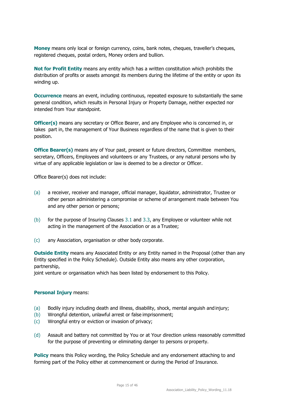**Money** means only local or foreign currency, coins, bank notes, cheques, traveller's cheques, registered cheques, postal orders, Money orders and bullion.

**Not for Profit Entity** means any entity which has a written constitution which prohibits the distribution of profits or assets amongst its members during the lifetime of the entity or upon its winding up.

**Occurrence** means an event, including continuous, repeated exposure to substantially the same general condition, which results in Personal Injury or Property Damage, neither expected nor intended from Your standpoint.

**Officer(s)** means any secretary or Office Bearer, and any Employee who is concerned in, or takes part in, the management of Your Business regardless of the name that is given to their position.

**Office Bearer(s)** means any of Your past, present or future directors, Committee members, secretary, Officers, Employees and volunteers or any Trustees, or any natural persons who by virtue of any applicable legislation or law is deemed to be a director or Officer.

Office Bearer(s) does not include:

- (a) a receiver, receiver and manager, official manager, liquidator, administrator, Trustee or other person administering a compromise or scheme of arrangement made between You and any other person or persons;
- (b) for the purpose of Insuring Clauses 3.1 and 3.3, any Employee or volunteer while not acting in the management of the Association or as a Trustee;
- (c) any Association, organisation or other body corporate.

**Outside Entity** means any Associated Entity or any Entity named in the Proposal (other than any Entity specified in the Policy Schedule). Outside Entity also means any other corporation, partnership,

joint venture or organisation which has been listed by endorsement to this Policy.

#### **Personal Injury** means:

- (a) Bodily injury including death and illness, disability, shock, mental anguish and injury;
- (b) Wrongful detention, unlawful arrest or false imprisonment;
- (c) Wrongful entry or eviction or invasion of privacy;
- (d) Assault and battery not committed by You or at Your direction unless reasonably committed for the purpose of preventing or eliminating danger to persons orproperty.

**Policy** means this Policy wording, the Policy Schedule and any endorsement attaching to and forming part of the Policy either at commencement or during the Period of Insurance.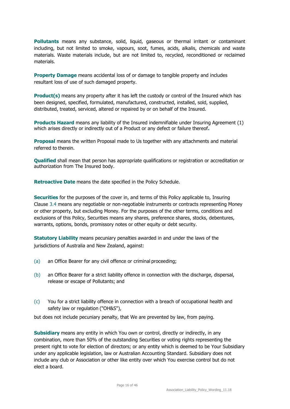**Pollutants** means any substance, solid, liquid, gaseous or thermal irritant or contaminant including, but not limited to smoke, vapours, soot, fumes, acids, alkalis, chemicals and waste materials. Waste materials include, but are not limited to, recycled, reconditioned or reclaimed materials.

**Property Damage** means accidental loss of or damage to tangible property and includes resultant loss of use of such damaged property.

**Product(s)** means any property after it has left the custody or control of the Insured which has been designed, specified, formulated, manufactured, constructed, installed, sold, supplied, distributed, treated, serviced, altered or repaired by or on behalf of the Insured.

**Products Hazard** means any liability of the Insured indemnifiable under Insuring Agreement (1) which arises directly or indirectly out of a Product or any defect or failure thereof**.**

**Proposal** means the written Proposal made to Us together with any attachments and material referred to therein.

**Qualified** shall mean that person has appropriate qualifications or registration or accreditation or authorization from The Insured body.

**Retroactive Date** means the date specified in the Policy Schedule.

**Securities** for the purposes of the cover in, and terms of this Policy applicable to, Insuring Clause 3.4 means any negotiable or non-negotiable instruments or contracts representing Money or other property, but excluding Money. For the purposes of the other terms, conditions and exclusions of this Policy, Securities means any shares, preference shares, stocks, debentures, warrants, options, bonds, promissory notes or other equity or debt security.

**Statutory Liability** means pecuniary penalties awarded in and under the laws of the jurisdictions of Australia and New Zealand, against:

- (a) an Office Bearer for any civil offence or criminal proceeding;
- (b) an Office Bearer for a strict liability offence in connection with the discharge, dispersal, release or escape of Pollutants; and
- (c) You for a strict liability offence in connection with a breach of occupational health and safety law or regulation ("OH&S"),

but does not include pecuniary penalty, that We are prevented by law, from paying.

**Subsidiary** means any entity in which You own or control, directly or indirectly, in any combination, more than 50% of the outstanding Securities or voting rights representing the present right to vote for election of directors; or any entity which is deemed to be Your Subsidiary under any applicable legislation, law or Australian Accounting Standard. Subsidiary does not include any club or Association or other like entity over which You exercise control but do not elect a board.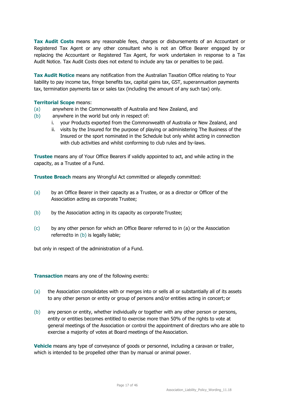**Tax Audit Costs** means any reasonable fees, charges or disbursements of an Accountant or Registered Tax Agent or any other consultant who is not an Office Bearer engaged by or replacing the Accountant or Registered Tax Agent, for work undertaken in response to a Tax Audit Notice. Tax Audit Costs does not extend to include any tax or penalties to be paid.

**Tax Audit Notice** means any notification from the Australian Taxation Office relating to Your liability to pay income tax, fringe benefits tax, capital gains tax, GST, superannuation payments tax, termination payments tax or sales tax (including the amount of any such tax) only.

#### **Territorial Scope** means:

- (a) anywhere in the Commonwealth of Australia and New Zealand, and
- (b) anywhere in the world but only in respect of:
	- i. your Products exported from the Commonwealth of Australia or New Zealand, and
	- ii. visits by the Insured for the purpose of playing or administering The Business of the Insured or the sport nominated in the Schedule but only whilst acting in connection with club activities and whilst conforming to club rules and by-laws.

**Trustee** means any of Your Office Bearers if validly appointed to act, and while acting in the capacity, as a Trustee of a Fund.

**Trustee Breach** means any Wrongful Act committed or allegedly committed:

- (a) by an Office Bearer in their capacity as a Trustee, or as a director or Officer of the Association acting as corporate Trustee;
- (b) by the Association acting in its capacity as corporate Trustee;
- (c) by any other person for which an Office Bearer referred to in (a) or the Association referredto in (b) is legally liable;

but only in respect of the administration of a Fund.

**Transaction** means any one of the following events:

- (a) the Association consolidates with or merges into or sells all or substantially all of its assets to any other person or entity or group of persons and/or entities acting in concert; or
- (b) any person or entity, whether individually or together with any other person or persons, entity or entities becomes entitled to exercise more than 50% of the rights to vote at general meetings of the Association or control the appointment of directors who are able to exercise a majority of votes at Board meetings of the Association.

**Vehicle** means any type of conveyance of goods or personnel, including a caravan or trailer, which is intended to be propelled other than by manual or animal power.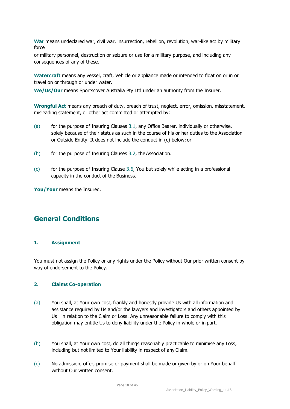**War** means undeclared war, civil war, insurrection, rebellion, revolution, war-like act by military force

or military personnel, destruction or seizure or use for a military purpose, and including any consequences of any of these.

**Watercraft** means any vessel, craft, Vehicle or appliance made or intended to float on or in or travel on or through or under water.

**We/Us/Our** means Sportscover Australia Pty Ltd under an authority from the Insurer.

**Wrongful Act** means any breach of duty, breach of trust, neglect, error, omission, misstatement, misleading statement, or other act committed or attempted by:

- (a) for the purpose of Insuring Clauses 3.1, any Office Bearer, individually or otherwise, solely because of their status as such in the course of his or her duties to the Association or Outside Entity. It does not include the conduct in (c) below; or
- (b) for the purpose of Insuring Clauses 3.2, the Association.
- (c) for the purpose of Insuring Clause 3.6, You but solely while acting in a professional capacity in the conduct of the Business.

**You/Your** means the Insured.

### **General Conditions**

#### **1. Assignment**

You must not assign the Policy or any rights under the Policy without Our prior written consent by way of endorsement to the Policy.

#### **2. Claims Co-operation**

- (a) You shall, at Your own cost, frankly and honestly provide Us with all information and assistance required by Us and/or the lawyers and investigators and others appointed by Us in relation to the Claim or Loss. Any unreasonable failure to comply with this obligation may entitle Us to deny liability under the Policy in whole or in part.
- (b) You shall, at Your own cost, do all things reasonably practicable to minimise any Loss, including but not limited to Your liability in respect of any Claim.
- (c) No admission, offer, promise or payment shall be made or given by or on Your behalf without Our written consent.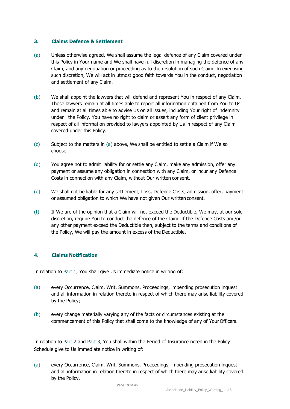#### **3. Claims Defence & Settlement**

- (a) Unless otherwise agreed, We shall assume the legal defence of any Claim covered under this Policy in Your name and We shall have full discretion in managing the defence of any Claim, and any negotiation or proceeding as to the resolution of such Claim. In exercising such discretion, We will act in utmost good faith towards You in the conduct, negotiation and settlement of any Claim.
- (b) We shall appoint the lawyers that will defend and represent You in respect of any Claim. Those lawyers remain at all times able to report all information obtained from You to Us and remain at all times able to advise Us on all issues, including Your right of indemnity under the Policy. You have no right to claim or assert any form of client privilege in respect of all information provided to lawyers appointed by Us in respect of any Claim covered under this Policy.
- (c) Subject to the matters in (a) above, We shall be entitled to settle a Claim if We so choose.
- (d) You agree not to admit liability for or settle any Claim, make any admission, offer any payment or assume any obligation in connection with any Claim, or incur any Defence Costs in connection with any Claim, without Our written consent.
- (e) We shall not be liable for any settlement, Loss, Defence Costs, admission, offer, payment or assumed obligation to which We have not given Our written consent.
- (f) If We are of the opinion that a Claim will not exceed the Deductible, We may, at our sole discretion, require You to conduct the defence of the Claim. If the Defence Costs and/or any other payment exceed the Deductible then, subject to the terms and conditions of the Policy, We will pay the amount in excess of the Deductible.

#### **4. Claims Notification**

In relation to Part 1, You shall give Us immediate notice in writing of:

- (a) every Occurrence, Claim, Writ, Summons, Proceedings, impending prosecution inquest and all information in relation thereto in respect of which there may arise liability covered by the Policy;
- (b) every change materially varying any of the facts or circumstances existing at the commencement of this Policy that shall come to the knowledge of any of Your Officers.

In relation to Part 2 and Part 3, You shall within the Period of Insurance noted in the Policy Schedule give to Us immediate notice in writing of:

(a) every Occurrence, Claim, Writ, Summons, Proceedings, impending prosecution inquest and all information in relation thereto in respect of which there may arise liability covered by the Policy.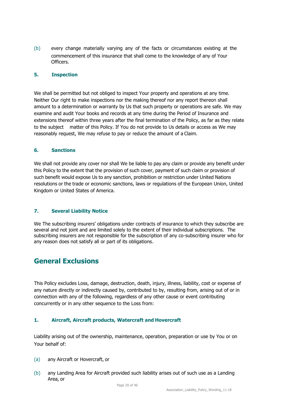(b) every change materially varying any of the facts or circumstances existing at the commencement of this insurance that shall come to the knowledge of any of Your Officers.

#### **5. Inspection**

We shall be permitted but not obliged to inspect Your property and operations at any time. Neither Our right to make inspections nor the making thereof nor any report thereon shall amount to a determination or warranty by Us that such property or operations are safe. We may examine and audit Your books and records at any time during the Period of Insurance and extensions thereof within three years after the final termination of the Policy, as far as they relate to the subject matter of this Policy. If You do not provide to Us details or access as We may reasonably request, We may refuse to pay or reduce the amount of a Claim.

#### **6. Sanctions**

We shall not provide any cover nor shall We be liable to pay any claim or provide any benefit under this Policy to the extent that the provision of such cover, payment of such claim or provision of such benefit would expose Us to any sanction, prohibition or restriction under United Nations resolutions or the trade or economic sanctions, laws or regulations of the European Union, United Kingdom or United States of America.

#### **7. Several Liability Notice**

We The subscribing insurers' obligations under contracts of insurance to which they subscribe are several and not joint and are limited solely to the extent of their individual subscriptions. The subscribing insurers are not responsible for the subscription of any co-subscribing insurer who for any reason does not satisfy all or part of its obligations.

### <span id="page-19-0"></span>**General Exclusions**

This Policy excludes Loss, damage, destruction, death, injury, illness, liability, cost or expense of any nature directly or indirectly caused by, contributed to by, resulting from, arising out of or in connection with any of the following, regardless of any other cause or event contributing concurrently or in any other sequence to the Loss from:

#### **1. Aircraft, Aircraft products, Watercraft and Hovercraft**

Liability arising out of the ownership, maintenance, operation, preparation or use by You or on Your behalf of:

- (a) any Aircraft or Hovercraft, or
- (b) any Landing Area for Aircraft provided such liability arises out of such use as a Landing Area, or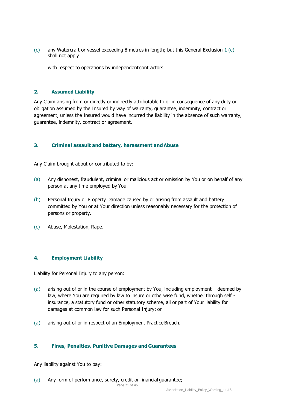$(c)$  any Watercraft or vessel exceeding 8 metres in length; but this General Exclusion 1  $(c)$ shall not apply

with respect to operations by independent contractors.

#### **2. Assumed Liability**

Any Claim arising from or directly or indirectly attributable to or in consequence of any duty or obligation assumed by the Insured by way of warranty, guarantee, indemnity, contract or agreement, unless the Insured would have incurred the liability in the absence of such warranty, guarantee, indemnity, contract or agreement.

#### **3. Criminal assault and battery, harassment andAbuse**

Any Claim brought about or contributed to by:

- (a) Any dishonest, fraudulent, criminal or malicious act or omission by You or on behalf of any person at any time employed by You.
- (b) Personal Injury or Property Damage caused by or arising from assault and battery committed by You or at Your direction unless reasonably necessary for the protection of persons or property.
- (c) Abuse, Molestation, Rape.

#### **4. Employment Liability**

Liability for Personal Injury to any person:

- (a) arising out of or in the course of employment by You, including employment deemed by law, where You are required by law to insure or otherwise fund, whether through self insurance, a statutory fund or other statutory scheme, all or part of Your liability for damages at common law for such Personal Injury; or
- (a) arising out of or in respect of an Employment Practice Breach.

#### **5. Fines, Penalties, Punitive Damages and Guarantees**

Any liability against You to pay:

(a) Any form of performance, surety, credit or financial guarantee;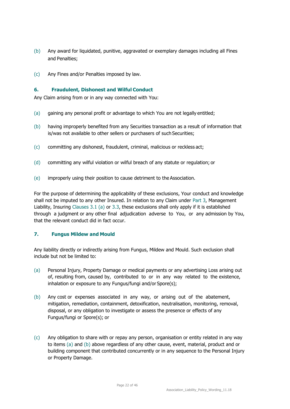- (b) Any award for liquidated, punitive, aggravated or exemplary damages including all Fines and Penalties;
- (c) Any Fines and/or Penalties imposed by law.

#### **6. Fraudulent, Dishonest and Wilful Conduct**

Any Claim arising from or in any way connected with You:

- (a) gaining any personal profit or advantage to which You are not legally entitled;
- (b) having improperly benefited from any Securities transaction as a result of information that is/was not available to other sellers or purchasers of such Securities;
- (c) committing any dishonest, fraudulent, criminal, malicious or reckless act;
- (d) committing any wilful violation or wilful breach of any statute or regulation; or
- (e) improperly using their position to cause detriment to the Association.

For the purpose of determining the applicability of these exclusions, Your conduct and knowledge shall not be imputed to any other Insured. In relation to any Claim under Part 3, Management Liability, Insuring Clauses 3.1 (a) or 3.3, these exclusions shall only apply if it is established through a judgment or any other final adjudication adverse to You, or any admission by You, that the relevant conduct did in fact occur.

#### **7. Fungus Mildew and Mould**

Any liability directly or indirectly arising from Fungus, Mildew and Mould. Such exclusion shall include but not be limited to:

- (a) Personal Injury, Property Damage or medical payments or any advertising Loss arising out of, resulting from, caused by, contributed to or in any way related to the existence, inhalation or exposure to any Fungus/fungi and/or Spore(s);
- (b) Any cost or expenses associated in any way, or arising out of the abatement, mitigation, remediation, containment, detoxification, neutralisation, monitoring, removal, disposal, or any obligation to investigate or assess the presence or effects of any Fungus/fungi or Spore(s); or
- (c) Any obligation to share with or repay any person, organisation or entity related in any way to items (a) and (b) above regardless of any other cause, event, material, product and or building component that contributed concurrently or in any sequence to the Personal Injury or Property Damage.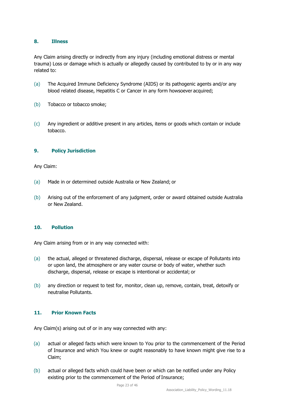#### **8. Illness**

Any Claim arising directly or indirectly from any injury (including emotional distress or mental trauma) Loss or damage which is actually or allegedly caused by contributed to by or in any way related to:

- (a) The Acquired Immune Deficiency Syndrome (AIDS) or its pathogenic agents and/or any blood related disease, Hepatitis C or Cancer in any form howsoever acquired;
- (b) Tobacco or tobacco smoke;
- (c) Any ingredient or additive present in any articles, items or goods which contain or include tobacco.

#### **9. Policy Jurisdiction**

#### Any Claim:

- (a) Made in or determined outside Australia or New Zealand; or
- (b) Arising out of the enforcement of any judgment, order or award obtained outside Australia or New Zealand.

#### **10. Pollution**

Any Claim arising from or in any way connected with:

- (a) the actual, alleged or threatened discharge, dispersal, release or escape of Pollutants into or upon land, the atmosphere or any water course or body of water, whether such discharge, dispersal, release or escape is intentional or accidental; or
- (b) any direction or request to test for, monitor, clean up, remove, contain, treat, detoxify or neutralise Pollutants.

#### **11. Prior Known Facts**

Any Claim(s) arising out of or in any way connected with any:

- (a) actual or alleged facts which were known to You prior to the commencement of the Period of Insurance and which You knew or ought reasonably to have known might give rise to a Claim;
- (b) actual or alleged facts which could have been or which can be notified under any Policy existing prior to the commencement of the Period of Insurance;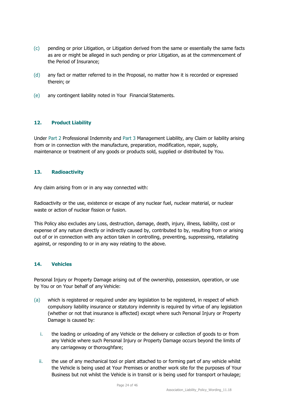- (c) pending or prior Litigation, or Litigation derived from the same or essentially the same facts as are or might be alleged in such pending or prior Litigation, as at the commencement of the Period of Insurance;
- (d) any fact or matter referred to in the Proposal, no matter how it is recorded or expressed therein; or
- (e) any contingent liability noted in Your Financial Statements.

#### **12. Product Liability**

Under Part 2 Professional Indemnity and Part 3 Management Liability, any Claim or liability arising from or in connection with the manufacture, preparation, modification, repair, supply, maintenance or treatment of any goods or products sold, supplied or distributed by You.

#### **13. Radioactivity**

Any claim arising from or in any way connected with:

Radioactivity or the use, existence or escape of any nuclear fuel, nuclear material, or nuclear waste or action of nuclear fission or fusion.

This Policy also excludes any Loss, destruction, damage, death, injury, illness, liability, cost or expense of any nature directly or indirectly caused by, contributed to by, resulting from or arising out of or in connection with any action taken in controlling, preventing, suppressing, retaliating against, or responding to or in any way relating to the above.

#### **14. Vehicles**

Personal Injury or Property Damage arising out of the ownership, possession, operation, or use by You or on Your behalf of any Vehicle:

- (a) which is registered or required under any legislation to be registered, in respect of which compulsory liability insurance or statutory indemnity is required by virtue of any legislation (whether or not that insurance is affected) except where such Personal Injury or Property Damage is caused by:
	- i. the loading or unloading of any Vehicle or the delivery or collection of goods to or from any Vehicle where such Personal Injury or Property Damage occurs beyond the limits of any carriageway or thoroughfare;
	- ii. the use of any mechanical tool or plant attached to or forming part of any vehicle whilst the Vehicle is being used at Your Premises or another work site for the purposes of Your Business but not whilst the Vehicle is in transit or is being used for transport orhaulage;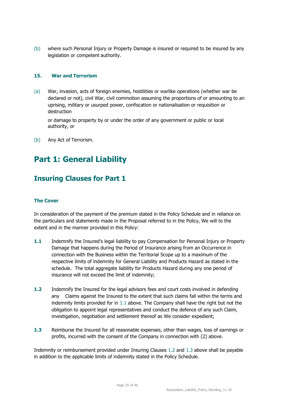(b) where such Personal Injury or Property Damage is insured or required to be insured by any legislation or competent authority.

#### **15. War and Terrorism**

(a) War, invasion, acts of foreign enemies, hostilities or warlike operations (whether war be declared or not), civil War, civil commotion assuming the proportions of or amounting to an uprising, military or usurped power, confiscation or nationalisation or requisition or destruction

or damage to property by or under the order of any government or public or local authority, or

(b) Any Act of Terrorism.

# <span id="page-24-0"></span>**Part 1: General Liability**

### <span id="page-24-1"></span>**Insuring Clauses for Part 1**

#### **The Cover**

In consideration of the payment of the premium stated in the Policy Schedule and in reliance on the particulars and statements made in the Proposal referred to in the Policy, We will to the extent and in the manner provided in this Policy:

- **1.1** Indemnify the Insured's legal liability to pay Compensation for Personal Injury or Property Damage that happens during the Period of Insurance arising from an Occurrence in connection with the Business within the Territorial Scope up to a maximum of the respective limits of indemnity for General Liability and Products Hazard as stated in the schedule. The total aggregate liability for Products Hazard during any one period of insurance will not exceed the limit of indemnity;
- **1.2** Indemnify the Insured for the legal advisors fees and court costs involved in defending any Claims against the Insured to the extent that such claims fall within the terms and indemnity limits provided for in 1.1 above. The Company shall have the right but not the obligation to appoint legal representatives and conduct the defence of any such Claim, investigation, negotiation and settlement thereof as We consider expedient;
- **1.3** Reimburse the Insured for all reasonable expenses, other than wages, loss of earnings or profits, incurred with the consent of the Company in connection with (2) above.

Indemnity or reimbursement provided under Insuring Clauses 1.2 and 1.3 above shall be payable in addition to the applicable limits of indemnity stated in the Policy Schedule.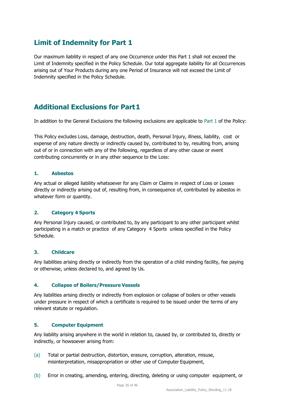## <span id="page-25-0"></span>**Limit of Indemnity for Part 1**

Our maximum liability in respect of any one Occurrence under this Part 1 shall not exceed the Limit of Indemnity specified in the Policy Schedule. Our total aggregate liability for all Occurrences arising out of Your Products during any one Period of Insurance will not exceed the Limit of Indemnity specified in the Policy Schedule.

# <span id="page-25-1"></span>**Additional Exclusions for Part1**

In addition to the General Exclusions the following exclusions are applicable to Part 1 of the Policy:

This Policy excludes Loss, damage, destruction, death, Personal Injury, illness, liability, cost or expense of any nature directly or indirectly caused by, contributed to by, resulting from, arising out of or in connection with any of the following, regardless of any other cause or event contributing concurrently or in any other sequence to the Loss:

#### **1. Asbestos**

Any actual or alleged liability whatsoever for any Claim or Claims in respect of Loss or Losses directly or indirectly arising out of, resulting from, in consequence of, contributed by asbestos in whatever form or quantity.

#### **2. Category 4 Sports**

Any Personal Injury caused, or contributed to, by any participant to any other participant whilst participating in a match or practice of any Category 4 Sports unless specified in the Policy Schedule.

#### **3. Childcare**

Any liabilities arising directly or indirectly from the operation of a child minding facility, fee paying or otherwise, unless declared to, and agreed by Us.

#### **4. Collapse of Boilers/Pressure Vessels**

Any liabilities arising directly or indirectly from explosion or collapse of boilers or other vessels under pressure in respect of which a certificate is required to be issued under the terms of any relevant statute or regulation.

#### **5. Computer Equipment**

Any liability arising anywhere in the world in relation to, caused by, or contributed to, directly or indirectly, or howsoever arising from:

- (a) Total or partial destruction, distortion, erasure, corruption, alteration, misuse, misinterpretation, misappropriation or other use of Computer Equipment,
- (b) Error in creating, amending, entering, directing, deleting or using computer equipment, or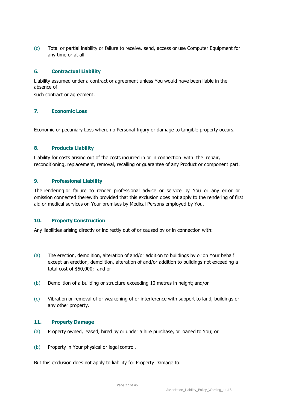(c) Total or partial inability or failure to receive, send, access or use Computer Equipment for any time or at all.

#### **6. Contractual Liability**

Liability assumed under a contract or agreement unless You would have been liable in the absence of

such contract or agreement.

#### **7. Economic Loss**

Economic or pecuniary Loss where no Personal Injury or damage to tangible property occurs.

#### **8. Products Liability**

Liability for costs arising out of the costs incurred in or in connection with the repair, reconditioning, replacement, removal, recalling or guarantee of any Product or component part.

#### **9. Professional Liability**

The rendering or failure to render professional advice or service by You or any error or omission connected therewith provided that this exclusion does not apply to the rendering of first aid or medical services on Your premises by Medical Persons employed by You.

#### **10. Property Construction**

Any liabilities arising directly or indirectly out of or caused by or in connection with:

- (a) The erection, demolition, alteration of and/or addition to buildings by or on Your behalf except an erection, demolition, alteration of and/or addition to buildings not exceeding a total cost of \$50,000; and or
- (b) Demolition of a building or structure exceeding 10 metres in height; and/or
- (c) Vibration or removal of or weakening of or interference with support to land, buildings or any other property.

#### **11. Property Damage**

- (a) Property owned, leased, hired by or under a hire purchase, or loaned to You; or
- (b) Property in Your physical or legal control.

But this exclusion does not apply to liability for Property Damage to: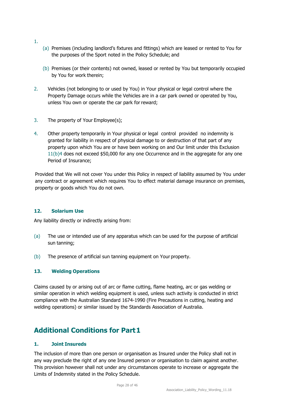- 1.
- (a) Premises (including landlord's fixtures and fittings) which are leased or rented to You for the purposes of the Sport noted in the Policy Schedule; and
- (b) Premises (or their contents) not owned, leased or rented by You but temporarily occupied by You for work therein;
- 2. Vehicles (not belonging to or used by You) in Your physical or legal control where the Property Damage occurs while the Vehicles are in a car park owned or operated by You, unless You own or operate the car park for reward;
- 3. The property of Your Employee(s);
- 4. Other property temporarily in Your physical or legal control provided no indemnity is granted for liability in respect of physical damage to or destruction of that part of any property upon which You are or have been working on and Our limit under this Exclusion 11(b)4 does not exceed \$50,000 for any one Occurrence and in the aggregate for any one Period of Insurance;

Provided that We will not cover You under this Policy in respect of liability assumed by You under any contract or agreement which requires You to effect material damage insurance on premises, property or goods which You do not own.

#### **12. Solarium Use**

Any liability directly or indirectly arising from:

- (a) The use or intended use of any apparatus which can be used for the purpose of artificial sun tanning;
- (b) The presence of artificial sun tanning equipment on Your property.

#### **13. Welding Operations**

Claims caused by or arising out of arc or flame cutting, flame heating, arc or gas welding or similar operation in which welding equipment is used, unless such activity is conducted in strict compliance with the Australian Standard 1674-1990 (Fire Precautions in cutting, heating and welding operations) or similar issued by the Standards Association of Australia.

### <span id="page-27-0"></span>**Additional Conditions for Part1**

#### **1. Joint Insureds**

The inclusion of more than one person or organisation as Insured under the Policy shall not in any way preclude the right of any one Insured person or organisation to claim against another. This provision however shall not under any circumstances operate to increase or aggregate the Limits of Indemnity stated in the Policy Schedule.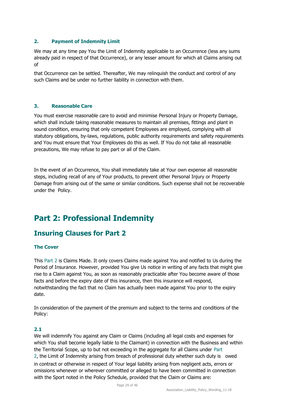#### **2. Payment of Indemnity Limit**

We may at any time pay You the Limit of Indemnity applicable to an Occurrence (less any sums already paid in respect of that Occurrence), or any lesser amount for which all Claims arising out of

that Occurrence can be settled. Thereafter, We may relinquish the conduct and control of any such Claims and be under no further liability in connection with them.

#### **3. Reasonable Care**

You must exercise reasonable care to avoid and minimise Personal Injury or Property Damage, which shall include taking reasonable measures to maintain all premises, fittings and plant in sound condition, ensuring that only competent Employees are employed, complying with all statutory obligations, by-laws, regulations, public authority requirements and safety requirements and You must ensure that Your Employees do this as well. If You do not take all reasonable precautions, We may refuse to pay part or all of the Claim.

In the event of an Occurrence, You shall immediately take at Your own expense all reasonable steps, including recall of any of Your products, to prevent other Personal Injury or Property Damage from arising out of the same or similar conditions. Such expense shall not be recoverable under the Policy.

# <span id="page-28-0"></span>**Part 2: Professional Indemnity**

### <span id="page-28-1"></span>**Insuring Clauses for Part 2**

#### **The Cover**

This Part 2 is Claims Made. It only covers Claims made against You and notified to Us during the Period of Insurance. However, provided You give Us notice in writing of any facts that might give rise to a Claim against You, as soon as reasonably practicable after You become aware of those facts and before the expiry date of this insurance, then this insurance will respond, notwithstanding the fact that no Claim has actually been made against You prior to the expiry date.

In consideration of the payment of the premium and subject to the terms and conditions of the Policy:

#### **2.1**

We will indemnify You against any Claim or Claims (including all legal costs and expenses for which You shall become legally liable to the Claimant) in connection with the Business and within the Territorial Scope, up to but not exceeding in the aggregate for all Claims under Part 2, the Limit of Indemnity arising from breach of professional duty whether such duty is owed in contract or otherwise in respect of Your legal liability arising from negligent acts, errors or omissions whenever or wherever committed or alleged to have been committed in connection with the Sport noted in the Policy Schedule, provided that the Claim or Claims are: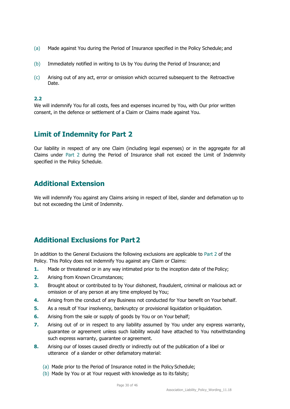- (a) Made against You during the Period of Insurance specified in the Policy Schedule; and
- (b) Immediately notified in writing to Us by You during the Period of Insurance; and
- (c) Arising out of any act, error or omission which occurred subsequent to the Retroactive Date.

#### **2.2**

We will indemnify You for all costs, fees and expenses incurred by You, with Our prior written consent, in the defence or settlement of a Claim or Claims made against You.

### <span id="page-29-0"></span>**Limit of Indemnity for Part 2**

Our liability in respect of any one Claim (including legal expenses) or in the aggregate for all Claims under Part 2 during the Period of Insurance shall not exceed the Limit of Indemnity specified in the Policy Schedule.

### <span id="page-29-1"></span>**Additional Extension**

We will indemnify You against any Claims arising in respect of libel, slander and defamation up to but not exceeding the Limit of Indemnity.

### <span id="page-29-2"></span>**Additional Exclusions for Part2**

In addition to the General Exclusions the following exclusions are applicable to Part 2 of the Policy. This Policy does not indemnify You against any Claim or Claims:

- **1.** Made or threatened or in any way intimated prior to the inception date of the Policy;
- **2.** Arising from Known Circumstances;
- **3.** Brought about or contributed to by Your dishonest, fraudulent, criminal or malicious act or omission or of any person at any time employed by You;
- **4.** Arising from the conduct of any Business not conducted for Your benefit on Your behalf.
- **5.** As a result of Your insolvency, bankruptcy or provisional liquidation or liquidation.
- **6.** Arising from the sale or supply of goods by You or on Your behalf;
- **7.** Arising out of or in respect to any liability assumed by You under any express warranty, guarantee or agreement unless such liability would have attached to You notwithstanding such express warranty, guarantee or agreement.
- **8.** Arising our of losses caused directly or indirectly out of the publication of a libel or utterance of a slander or other defamatory material:
	- (a) Made prior to the Period of Insurance noted in the Policy Schedule;
	- (b) Made by You or at Your request with knowledge as to its falsity;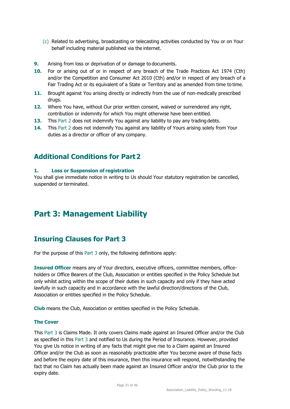- (c) Related to advertising, broadcasting or telecasting activities conducted by You or on Your behalf including material published via the internet.
- **9.** Arising from loss or deprivation of or damage to documents.
- **10.** For or arising out of or in respect of any breach of the Trade Practices Act 1974 (Cth) and/or the Competition and Consumer Act 2010 (Cth) and/or in respect of any breach of a Fair Trading Act or its equivalent of a State or Territory and as amended from time to time.
- **11.** Brought against You arising directly or indirectly from the use of non-medically prescribed drugs.
- **12.** Where You have, without Our prior written consent, waived or surrendered any right, contribution or indemnity for which You might otherwise have been entitled.
- **13.** This Part 2 does not indemnify You against any liability to pay any trading debts.
- **14.** This Part 2 does not indemnify You against any liability of Yours arising solely from Your duties as a director or officer of any company.

### <span id="page-30-0"></span>**Additional Conditions for Part2**

#### **1. Loss or Suspension of registration**

You shall give immediate notice in writing to Us should Your statutory registration be cancelled, suspended or terminated.

# <span id="page-30-1"></span>**Part 3: Management Liability**

### <span id="page-30-2"></span>**Insuring Clauses for Part 3**

For the purpose of this Part 3 only, the following definitions apply:

**Insured Officer** means any of Your directors, executive officers, committee members, officeholders or Office Bearers of the Club, Association or entities specified in the Policy Schedule but only whilst acting within the scope of their duties in such capacity and only if they have acted lawfully in such capacity and in accordance with the lawful direction/directions of the Club, Association or entities specified in the Policy Schedule.

**Club** means the Club, Association or entities specified in the Policy Schedule.

#### **The Cover**

This Part 3 is Claims Made. It only covers Claims made against an Insured Officer and/or the Club as specified in this Part 3 and notified to Us during the Period of Insurance. However, provided You give Us notice in writing of any facts that might give rise to a Claim against an Insured Officer and/or the Club as soon as reasonably practicable after You become aware of those facts and before the expiry date of this insurance, then this insurance will respond, notwithstanding the fact that no Claim has actually been made against an Insured Officer and/or the Club prior to the expiry date.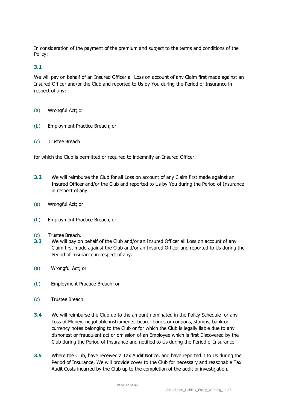In consideration of the payment of the premium and subject to the terms and conditions of the Policy:

#### **3.1**

We will pay on behalf of an Insured Officer all Loss on account of any Claim first made against an Insured Officer and/or the Club and reported to Us by You during the Period of Insurance in respect of any:

- (a) Wrongful Act; or
- (b) Employment Practice Breach; or
- (c) Trustee Breach

for which the Club is permitted or required to indemnify an Insured Officer.

- **3.2** We will reimburse the Club for all Loss on account of any Claim first made against an Insured Officer and/or the Club and reported to Us by You during the Period of Insurance in respect of any:
- (a) Wrongful Act; or
- (b) Employment Practice Breach; or
- (c) Trustee Breach.
- **3.3** We will pay on behalf of the Club and/or an Insured Officer all Loss on account of any Claim first made against the Club and/or an Insured Officer and reported to Us during the Period of Insurance in respect of any:
- (a) Wrongful Act; or
- (b) Employment Practice Breach; or
- (c) Trustee Breach.
- **3.4** We will reimburse the Club up to the amount nominated in the Policy Schedule for any Loss of Money, negotiable instruments, bearer bonds or coupons, stamps, bank or currency notes belonging to the Club or for which the Club is legally liable due to any dishonest or fraudulent act or omission of an Employee which is first Discovered by the Club during the Period of Insurance and notified to Us during the Period of Insurance.
- **3.5** Where the Club, have received a Tax Audit Notice, and have reported it to Us during the Period of Insurance, We will provide cover to the Club for necessary and reasonable Tax Audit Costs incurred by the Club up to the completion of the audit or investigation.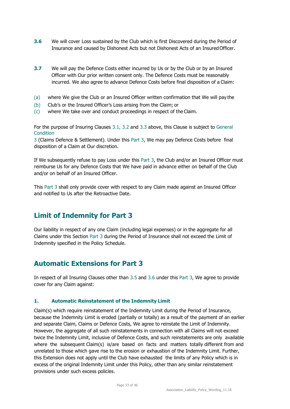- **3.6** We will cover Loss sustained by the Club which is first Discovered during the Period of Insurance and caused by Dishonest Acts but not Dishonest Acts of an Insured Officer.
- **3.7** We will pay the Defence Costs either incurred by Us or by the Club or by an Insured Officer with Our prior written consent only. The Defence Costs must be reasonably incurred. We also agree to advance Defence Costs before final disposition of a Claim:
- (a) where We give the Club or an Insured Officer written confirmation that We will pay the
- (b) Club's or the Insured Officer's Loss arising from the Claim; or
- (c) where We take over and conduct proceedings in respect of the Claim.

For the purpose of Insuring Clauses 3.1, 3.2 and 3.3 above, this Clause is subject to General **Condition** 

3 (Claims Defence & Settlement). Under this Part 3, We may pay Defence Costs before final disposition of a Claim at Our discretion.

If We subsequently refuse to pay Loss under this Part 3, the Club and/or an Insured Officer must reimburse Us for any Defence Costs that We have paid in advance either on behalf of the Club and/or on behalf of an Insured Officer.

This Part 3 shall only provide cover with respect to any Claim made against an Insured Officer and notified to Us after the Retroactive Date.

### <span id="page-32-0"></span>**Limit of Indemnity for Part 3**

Our liability in respect of any one Claim (including legal expenses) or in the aggregate for all Claims under this Section Part 3 during the Period of Insurance shall not exceed the Limit of Indemnity specified in the Policy Schedule.

### <span id="page-32-1"></span>**Automatic Extensions for Part 3**

In respect of all Insuring Clauses other than 3.5 and 3.6 under this Part 3, We agree to provide cover for any Claim against:

#### **1. Automatic Reinstatement of the Indemnity Limit**

Claim(s) which require reinstatement of the Indemnity Limit during the Period of Insurance, because the Indemnity Limit is eroded (partially or totally) as a result of the payment of an earlier and separate Claim, Claims or Defence Costs, We agree to reinstate the Limit of Indemnity. However, the aggregate of all such reinstatements in connection with all Claims will not exceed twice the Indemnity Limit, inclusive of Defence Costs, and such reinstatements are only available where the subsequent Claim(s) is/are based on facts and matters totally different from and unrelated to those which gave rise to the erosion or exhaustion of the Indemnity Limit. Further, this Extension does not apply until the Club have exhausted the limits of any Policy which is in excess of the original Indemnity Limit under this Policy, other than any similar reinstatement provisions under such excess policies.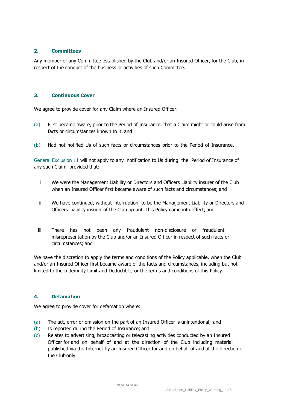#### **2. Committees**

Any member of any Committee established by the Club and/or an Insured Officer, for the Club, in respect of the conduct of the business or activities of such Committee.

#### **3. Continuous Cover**

We agree to provide cover for any Claim where an Insured Officer:

- (a) First became aware, prior to the Period of Insurance, that a Claim might or could arise from facts or circumstances known to it; and
- (b) Had not notified Us of such facts or circumstances prior to the Period of Insurance.

General Exclusion 11 will not apply to any notification to Us during the Period of Insurance of any such Claim, provided that:

- i. We were the Management Liability or Directors and Officers Liability insurer of the Club when an Insured Officer first became aware of such facts and circumstances; and
- ii. We have continued, without interruption, to be the Management Liability or Directors and Officers Liability insurer of the Club up until this Policy came into effect; and
- iii. There has not been any fraudulent non-disclosure or fraudulent misrepresentation by the Club and/or an Insured Officer in respect of such facts or circumstances; and

We have the discretion to apply the terms and conditions of the Policy applicable, when the Club and/or an Insured Officer first became aware of the facts and circumstances, including but not limited to the Indemnity Limit and Deductible, or the terms and conditions of this Policy.

#### **4. Defamation**

We agree to provide cover for defamation where:

- (a) The act, error or omission on the part of an Insured Officer is unintentional; and
- (b) Is reported during the Period of Insurance; and
- (c) Relates to advertising, broadcasting or telecasting activities conducted by an Insured Officer for and on behalf of and at the direction of the Club including material published via the Internet by an Insured Officer for and on behalf of and at the direction of the Club only.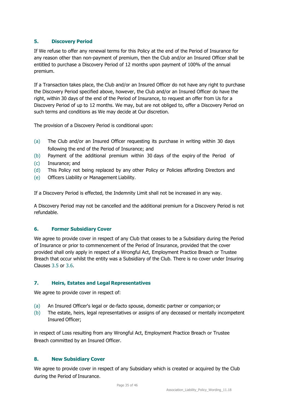#### **5. Discovery Period**

If We refuse to offer any renewal terms for this Policy at the end of the Period of Insurance for any reason other than non-payment of premium, then the Club and/or an Insured Officer shall be entitled to purchase a Discovery Period of 12 months upon payment of 100% of the annual premium.

If a Transaction takes place, the Club and/or an Insured Officer do not have any right to purchase the Discovery Period specified above, however, the Club and/or an Insured Officer do have the right, within 30 days of the end of the Period of Insurance, to request an offer from Us for a Discovery Period of up to 12 months. We may, but are not obliged to, offer a Discovery Period on such terms and conditions as We may decide at Our discretion.

The provision of a Discovery Period is conditional upon:

- (a) The Club and/or an Insured Officer requesting its purchase in writing within 30 days following the end of the Period of Insurance; and
- (b) Payment of the additional premium within 30 days of the expiry of the Period of
- (c) Insurance; and
- (d) This Policy not being replaced by any other Policy or Policies affording Directors and
- (e) Officers Liability or Management Liability.

If a Discovery Period is effected, the Indemnity Limit shall not be increased in any way.

A Discovery Period may not be cancelled and the additional premium for a Discovery Period is not refundable.

#### **6. Former Subsidiary Cover**

We agree to provide cover in respect of any Club that ceases to be a Subsidiary during the Period of Insurance or prior to commencement of the Period of Insurance, provided that the cover provided shall only apply in respect of a Wrongful Act, Employment Practice Breach or Trustee Breach that occur whilst the entity was a Subsidiary of the Club. There is no cover under Insuring Clauses 3.5 or 3.6.

#### **7. Heirs, Estates and Legal Representatives**

We agree to provide cover in respect of:

- (a) An Insured Officer's legal or de-facto spouse, domestic partner or companion;or
- (b) The estate, heirs, legal representatives or assigns of any deceased or mentally incompetent Insured Officer;

in respect of Loss resulting from any Wrongful Act, Employment Practice Breach or Trustee Breach committed by an Insured Officer.

#### **8. New Subsidiary Cover**

We agree to provide cover in respect of any Subsidiary which is created or acquired by the Club during the Period of Insurance.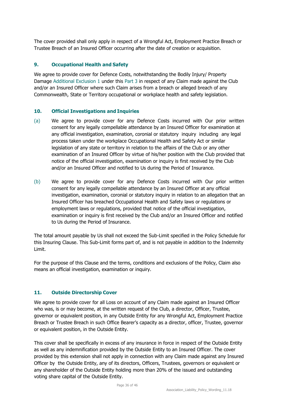The cover provided shall only apply in respect of a Wrongful Act, Employment Practice Breach or Trustee Breach of an Insured Officer occurring after the date of creation or acquisition.

#### **9. Occupational Health and Safety**

We agree to provide cover for Defence Costs, notwithstanding the Bodily Injury/ Property Damage Additional Exclusion 1 under this Part 3 in respect of any Claim made against the Club and/or an Insured Officer where such Claim arises from a breach or alleged breach of any Commonwealth, State or Territory occupational or workplace health and safety legislation.

#### **10. Official Investigations and Inquiries**

- (a) We agree to provide cover for any Defence Costs incurred with Our prior written consent for any legally compellable attendance by an Insured Officer for examination at any official investigation, examination, coronial or statutory inquiry including any legal process taken under the workplace Occupational Health and Safety Act or similar legislation of any state or territory in relation to the affairs of the Club or any other examination of an Insured Officer by virtue of his/her position with the Club provided that notice of the official investigation, examination or inquiry is first received by the Club and/or an Insured Officer and notified to Us during the Period of Insurance.
- (b) We agree to provide cover for any Defence Costs incurred with Our prior written consent for any legally compellable attendance by an Insured Officer at any official investigation, examination, coronial or statutory inquiry in relation to an allegation that an Insured Officer has breached Occupational Health and Safety laws or regulations or employment laws or regulations, provided that notice of the official investigation, examination or inquiry is first received by the Club and/or an Insured Officer and notified to Us during the Period of Insurance.

The total amount payable by Us shall not exceed the Sub-Limit specified in the Policy Schedule for this Insuring Clause. This Sub-Limit forms part of, and is not payable in addition to the Indemnity Limit.

For the purpose of this Clause and the terms, conditions and exclusions of the Policy, Claim also means an official investigation, examination or inquiry.

#### **11. Outside Directorship Cover**

We agree to provide cover for all Loss on account of any Claim made against an Insured Officer who was, is or may become, at the written request of the Club, a director, Officer, Trustee, governor or equivalent position, in any Outside Entity for any Wrongful Act, Employment Practice Breach or Trustee Breach in such Office Bearer's capacity as a director, officer, Trustee, governor or equivalent position, in the Outside Entity.

This cover shall be specifically in excess of any insurance in force in respect of the Outside Entity as well as any indemnification provided by the Outside Entity to an Insured Officer. The cover provided by this extension shall not apply in connection with any Claim made against any Insured Officer by the Outside Entity, any of its directors, Officers, Trustees, governors or equivalent or any shareholder of the Outside Entity holding more than 20% of the issued and outstanding voting share capital of the Outside Entity.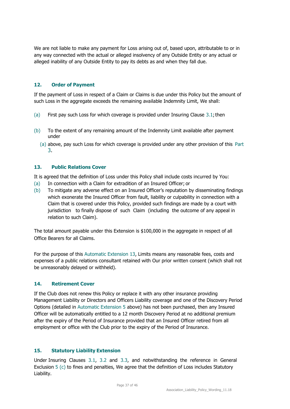We are not liable to make any payment for Loss arising out of, based upon, attributable to or in any way connected with the actual or alleged insolvency of any Outside Entity or any actual or alleged inability of any Outside Entity to pay its debts as and when they fall due.

#### **12. Order of Payment**

If the payment of Loss in respect of a Claim or Claims is due under this Policy but the amount of such Loss in the aggregate exceeds the remaining available Indemnity Limit, We shall:

- (a) First pay such Loss for which coverage is provided under Insuring Clause  $3.1$ ; then
- (b) To the extent of any remaining amount of the Indemnity Limit available after payment under
	- (a) above, pay such Loss for which coverage is provided under any other provision of this Part 3.

#### **13. Public Relations Cover**

It is agreed that the definition of Loss under this Policy shall include costs incurred by You:

- (a) In connection with a Claim for extradition of an Insured Officer; or
- (b) To mitigate any adverse effect on an Insured Officer's reputation by disseminating findings which exonerate the Insured Officer from fault, liability or culpability in connection with a Claim that is covered under this Policy, provided such findings are made by a court with jurisdiction to finally dispose of such Claim (including the outcome of any appeal in relation to such Claim).

The total amount payable under this Extension is \$100,000 in the aggregate in respect of all Office Bearers for all Claims.

For the purpose of this Automatic Extension 13, Limits means any reasonable fees, costs and expenses of a public relations consultant retained with Our prior written consent (which shall not be unreasonably delayed or withheld).

#### **14. Retirement Cover**

If the Club does not renew this Policy or replace it with any other insurance providing Management Liability or Directors and Officers Liability coverage and one of the Discovery Period Options (detailed in Automatic Extension 5 above) has not been purchased, then any Insured Officer will be automatically entitled to a 12 month Discovery Period at no additional premium after the expiry of the Period of Insurance provided that an Insured Officer retired from all employment or office with the Club prior to the expiry of the Period of Insurance.

#### **15. Statutory Liability Extension**

Under Insuring Clauses 3.1, 3.2 and 3.3, and notwithstanding the reference in General Exclusion 5 (c) to fines and penalties, We agree that the definition of Loss includes Statutory Liability.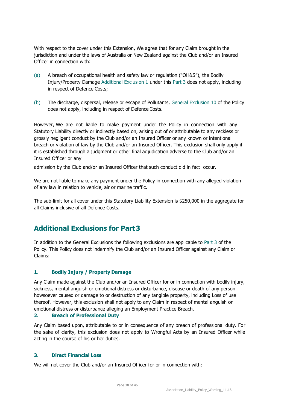With respect to the cover under this Extension, We agree that for any Claim brought in the jurisdiction and under the laws of Australia or New Zealand against the Club and/or an Insured Officer in connection with:

- (a) A breach of occupational health and safety law or regulation ("OH&S"), the Bodily Injury/Property Damage Additional Exclusion 1 under this Part 3 does not apply, including in respect of Defence Costs;
- (b) The discharge, dispersal, release or escape of Pollutants, General Exclusion 10 of the Policy does not apply, including in respect of Defence Costs.

However, We are not liable to make payment under the Policy in connection with any Statutory Liability directly or indirectly based on, arising out of or attributable to any reckless or grossly negligent conduct by the Club and/or an Insured Officer or any known or intentional breach or violation of law by the Club and/or an Insured Officer. This exclusion shall only apply if it is established through a judgment or other final adjudication adverse to the Club and/or an Insured Officer or any

admission by the Club and/or an Insured Officer that such conduct did in fact occur.

We are not liable to make any payment under the Policy in connection with any alleged violation of any law in relation to vehicle, air or marine traffic.

The sub-limit for all cover under this Statutory Liability Extension is \$250,000 in the aggregate for all Claims inclusive of all Defence Costs.

### <span id="page-37-0"></span>**Additional Exclusions for Part3**

In addition to the General Exclusions the following exclusions are applicable to Part 3 of the Policy. This Policy does not indemnify the Club and/or an Insured Officer against any Claim or Claims:

#### **1. Bodily Injury / Property Damage**

Any Claim made against the Club and/or an Insured Officer for or in connection with bodily injury, sickness, mental anguish or emotional distress or disturbance, disease or death of any person howsoever caused or damage to or destruction of any tangible property, including Loss of use thereof. However, this exclusion shall not apply to any Claim in respect of mental anguish or emotional distress or disturbance alleging an Employment Practice Breach.

#### **2. Breach of Professional Duty**

Any Claim based upon, attributable to or in consequence of any breach of professional duty. For the sake of clarity, this exclusion does not apply to Wrongful Acts by an Insured Officer while acting in the course of his or her duties.

#### **3. Direct Financial Loss**

We will not cover the Club and/or an Insured Officer for or in connection with: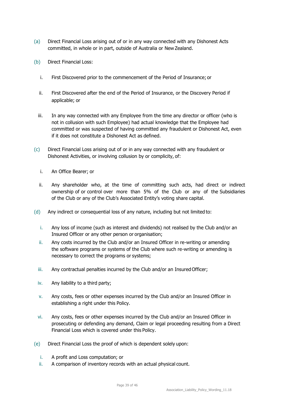- (a) Direct Financial Loss arising out of or in any way connected with any Dishonest Acts committed, in whole or in part, outside of Australia or New Zealand.
- (b) Direct Financial Loss:
	- i. First Discovered prior to the commencement of the Period of Insurance; or
	- ii. First Discovered after the end of the Period of Insurance, or the Discovery Period if applicable; or
	- iii. In any way connected with any Employee from the time any director or officer (who is not in collusion with such Employee) had actual knowledge that the Employee had committed or was suspected of having committed any fraudulent or Dishonest Act, even if it does not constitute a Dishonest Act as defined.
- (c) Direct Financial Loss arising out of or in any way connected with any fraudulent or Dishonest Activities, or involving collusion by or complicity, of:
	- i. An Office Bearer; or
	- ii. Any shareholder who, at the time of committing such acts, had direct or indirect ownership of or control over more than 5% of the Club or any of the Subsidiaries of the Club or any of the Club's Associated Entity's voting share capital.
- (d) Any indirect or consequential loss of any nature, including but not limited to:
	- i. Any loss of income (such as interest and dividends) not realised by the Club and/or an Insured Officer or any other person or organisation;
	- ii. Any costs incurred by the Club and/or an Insured Officer in re-writing or amending the software programs or systems of the Club where such re-writing or amending is necessary to correct the programs or systems;
	- iii. Any contractual penalties incurred by the Club and/or an Insured Officer;
	- iv. Any liability to a third party;
	- v. Any costs, fees or other expenses incurred by the Club and/or an Insured Officer in establishing a right under this Policy.
	- vi. Any costs, fees or other expenses incurred by the Club and/or an Insured Officer in prosecuting or defending any demand, Claim or legal proceeding resulting from a Direct Financial Loss which is covered under this Policy.
- (e) Direct Financial Loss the proof of which is dependent solely upon:
	- i. A profit and Loss computation; or
	- ii. A comparison of inventory records with an actual physical count.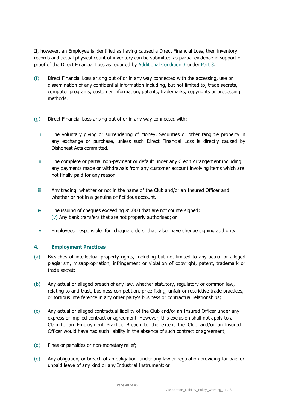If, however, an Employee is identified as having caused a Direct Financial Loss, then inventory records and actual physical count of inventory can be submitted as partial evidence in support of proof of the Direct Financial Loss as required by Additional Condition 3 under Part 3.

- (f) Direct Financial Loss arising out of or in any way connected with the accessing, use or dissemination of any confidential information including, but not limited to, trade secrets, computer programs, customer information, patents, trademarks, copyrights or processing methods.
- (g) Direct Financial Loss arising out of or in any way connected with:
	- i. The voluntary giving or surrendering of Money, Securities or other tangible property in any exchange or purchase, unless such Direct Financial Loss is directly caused by Dishonest Acts committed.
	- ii. The complete or partial non-payment or default under any Credit Arrangement including any payments made or withdrawals from any customer account involving items which are not finally paid for any reason.
	- iii. Any trading, whether or not in the name of the Club and/or an Insured Officer and whether or not in a genuine or fictitious account.
	- iv. The issuing of cheques exceeding \$5,000 that are not countersigned; (v) Any bank transfers that are not properly authorised; or
	- v. Employees responsible for cheque orders that also have cheque signing authority.

#### **4. Employment Practices**

- (a) Breaches of intellectual property rights, including but not limited to any actual or alleged plagiarism, misappropriation, infringement or violation of copyright, patent, trademark or trade secret;
- (b) Any actual or alleged breach of any law, whether statutory, regulatory or common law, relating to anti-trust, business competition, price fixing, unfair or restrictive trade practices, or tortious interference in any other party's business or contractual relationships;
- (c) Any actual or alleged contractual liability of the Club and/or an Insured Officer under any express or implied contract or agreement. However, this exclusion shall not apply to a Claim for an Employment Practice Breach to the extent the Club and/or an Insured Officer would have had such liability in the absence of such contract or agreement;
- (d) Fines or penalties or non-monetary relief;
- (e) Any obligation, or breach of an obligation, under any law or regulation providing for paid or unpaid leave of any kind or any Industrial Instrument; or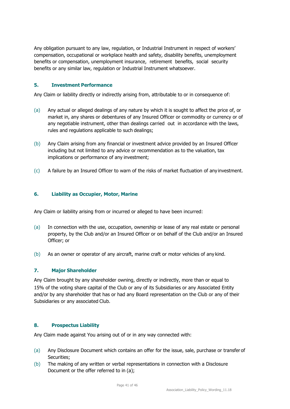Any obligation pursuant to any law, regulation, or Industrial Instrument in respect of workers' compensation, occupational or workplace health and safety, disability benefits, unemployment benefits or compensation, unemployment insurance, retirement benefits, social security benefits or any similar law, regulation or Industrial Instrument whatsoever.

#### **5. Investment Performance**

Any Claim or liability directly or indirectly arising from, attributable to or in consequence of:

- (a) Any actual or alleged dealings of any nature by which it is sought to affect the price of, or market in, any shares or debentures of any Insured Officer or commodity or currency or of any negotiable instrument, other than dealings carried out in accordance with the laws, rules and regulations applicable to such dealings;
- (b) Any Claim arising from any financial or investment advice provided by an Insured Officer including but not limited to any advice or recommendation as to the valuation, tax implications or performance of any investment;
- (c) A failure by an Insured Officer to warn of the risks of market fluctuation of any investment.

#### **6. Liability as Occupier, Motor, Marine**

Any Claim or liability arising from or incurred or alleged to have been incurred:

- (a) In connection with the use, occupation, ownership or lease of any real estate or personal property, by the Club and/or an Insured Officer or on behalf of the Club and/or an Insured Officer; or
- (b) As an owner or operator of any aircraft, marine craft or motor vehicles of any kind.

#### **7. Major Shareholder**

Any Claim brought by any shareholder owning, directly or indirectly, more than or equal to 15% of the voting share capital of the Club or any of its Subsidiaries or any Associated Entity and/or by any shareholder that has or had any Board representation on the Club or any of their Subsidiaries or any associated Club.

#### **8. Prospectus Liability**

Any Claim made against You arising out of or in any way connected with:

- (a) Any Disclosure Document which contains an offer for the issue, sale, purchase or transfer of Securities;
- (b) The making of any written or verbal representations in connection with a Disclosure Document or the offer referred to in (a);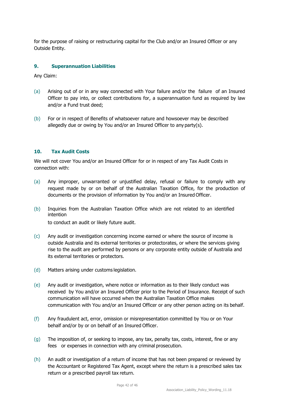for the purpose of raising or restructuring capital for the Club and/or an Insured Officer or any Outside Entity.

#### **9. Superannuation Liabilities**

Any Claim:

- (a) Arising out of or in any way connected with Your failure and/or the failure of an Insured Officer to pay into, or collect contributions for, a superannuation fund as required by law and/or a Fund trust deed;
- (b) For or in respect of Benefits of whatsoever nature and howsoever may be described allegedly due or owing by You and/or an Insured Officer to any party(s).

#### **10. Tax Audit Costs**

We will not cover You and/or an Insured Officer for or in respect of any Tax Audit Costs in connection with:

- (a) Any improper, unwarranted or unjustified delay, refusal or failure to comply with any request made by or on behalf of the Australian Taxation Office, for the production of documents or the provision of information by You and/or an Insured Officer.
- (b) Inquiries from the Australian Taxation Office which are not related to an identified intention

to conduct an audit or likely future audit.

- (c) Any audit or investigation concerning income earned or where the source of income is outside Australia and its external territories or protectorates, or where the services giving rise to the audit are performed by persons or any corporate entity outside of Australia and its external territories or protectors.
- (d) Matters arising under customs legislation.
- (e) Any audit or investigation, where notice or information as to their likely conduct was received by You and/or an Insured Officer prior to the Period of Insurance. Receipt of such communication will have occurred when the Australian Taxation Office makes communication with You and/or an Insured Officer or any other person acting on its behalf.
- (f) Any fraudulent act, error, omission or misrepresentation committed by You or on Your behalf and/or by or on behalf of an Insured Officer.
- $(q)$  The imposition of, or seeking to impose, any tax, penalty tax, costs, interest, fine or any fees or expenses in connection with any criminal prosecution.
- (h) An audit or investigation of a return of income that has not been prepared or reviewed by the Accountant or Registered Tax Agent, except where the return is a prescribed sales tax return or a prescribed payroll tax return.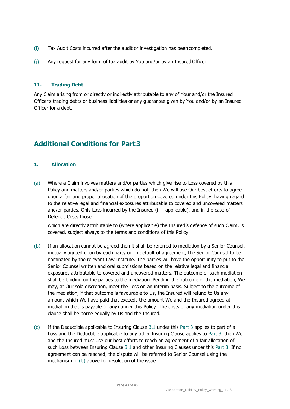- (i) Tax Audit Costs incurred after the audit or investigation has been completed.
- (j) Any request for any form of tax audit by You and/or by an Insured Officer.

#### **11. Trading Debt**

Any Claim arising from or directly or indirectly attributable to any of Your and/or the Insured Officer's trading debts or business liabilities or any guarantee given by You and/or by an Insured Officer for a debt.

# <span id="page-42-0"></span>**Additional Conditions for Part3**

#### **1. Allocation**

(a) Where a Claim involves matters and/or parties which give rise to Loss covered by this Policy and matters and/or parties which do not, then We will use Our best efforts to agree upon a fair and proper allocation of the proportion covered under this Policy, having regard to the relative legal and financial exposures attributable to covered and uncovered matters and/or parties. Only Loss incurred by the Insured (if applicable), and in the case of Defence Costs those

which are directly attributable to (where applicable) the Insured's defence of such Claim, is covered, subject always to the terms and conditions of this Policy.

- (b) If an allocation cannot be agreed then it shall be referred to mediation by a Senior Counsel, mutually agreed upon by each party or, in default of agreement, the Senior Counsel to be nominated by the relevant Law Institute. The parties will have the opportunity to put to the Senior Counsel written and oral submissions based on the relative legal and financial exposures attributable to covered and uncovered matters. The outcome of such mediation shall be binding on the parties to the mediation. Pending the outcome of the mediation, We may, at Our sole discretion, meet the Loss on an interim basis. Subject to the outcome of the mediation, if that outcome is favourable to Us, the Insured will refund to Us any amount which We have paid that exceeds the amount We and the Insured agreed at mediation that is payable (if any) under this Policy. The costs of any mediation under this clause shall be borne equally by Us and the Insured.
- $(c)$  If the Deductible applicable to Insuring Clause 3.1 under this Part 3 applies to part of a Loss and the Deductible applicable to any other Insuring Clause applies to Part 3, then We and the Insured must use our best efforts to reach an agreement of a fair allocation of such Loss between Insuring Clause 3.1 and other Insuring Clauses under this Part 3. If no agreement can be reached, the dispute will be referred to Senior Counsel using the mechanism in (b) above for resolution of the issue.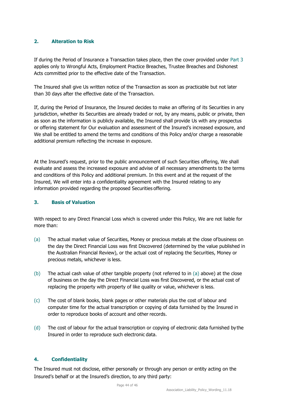#### **2. Alteration to Risk**

If during the Period of Insurance a Transaction takes place, then the cover provided under Part 3 applies only to Wrongful Acts, Employment Practice Breaches, Trustee Breaches and Dishonest Acts committed prior to the effective date of the Transaction.

The Insured shall give Us written notice of the Transaction as soon as practicable but not later than 30 days after the effective date of the Transaction.

If, during the Period of Insurance, the Insured decides to make an offering of its Securities in any jurisdiction, whether its Securities are already traded or not, by any means, public or private, then as soon as the information is publicly available, the Insured shall provide Us with any prospectus or offering statement for Our evaluation and assessment of the Insured's increased exposure, and We shall be entitled to amend the terms and conditions of this Policy and/or charge a reasonable additional premium reflecting the increase in exposure.

At the Insured's request, prior to the public announcement of such Securities offering, We shall evaluate and assess the increased exposure and advise of all necessary amendments to the terms and conditions of this Policy and additional premium. In this event and at the request of the Insured, We will enter into a confidentiality agreement with the Insured relating to any information provided regarding the proposed Securities offering.

#### **3. Basis of Valuation**

With respect to any Direct Financial Loss which is covered under this Policy, We are not liable for more than:

- (a) The actual market value of Securities, Money or precious metals at the close ofbusiness on the day the Direct Financial Loss was first Discovered (determined by the value published in the Australian Financial Review), or the actual cost of replacing the Securities, Money or precious metals, whichever is less.
- (b) The actual cash value of other tangible property (not referred to in (a) above) at the close of business on the day the Direct Financial Loss was first Discovered, or the actual cost of replacing the property with property of like quality or value, whichever is less.
- (c) The cost of blank books, blank pages or other materials plus the cost of labour and computer time for the actual transcription or copying of data furnished by the Insured in order to reproduce books of account and other records.
- (d) The cost of labour for the actual transcription or copying of electronic data furnished by the Insured in order to reproduce such electronic data.

#### **4. Confidentiality**

The Insured must not disclose, either personally or through any person or entity acting on the Insured's behalf or at the Insured's direction, to any third party: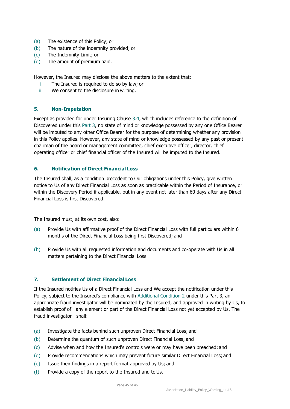- (a) The existence of this Policy; or
- (b) The nature of the indemnity provided; or
- (c) The Indemnity Limit; or
- (d) The amount of premium paid.

However, the Insured may disclose the above matters to the extent that:

- i. The Insured is required to do so by law; or
- ii. We consent to the disclosure in writing.

#### **5. Non-Imputation**

Except as provided for under Insuring Clause 3.4, which includes reference to the definition of Discovered under this Part 3, no state of mind or knowledge possessed by any one Office Bearer will be imputed to any other Office Bearer for the purpose of determining whether any provision in this Policy applies. However, any state of mind or knowledge possessed by any past or present chairman of the board or management committee, chief executive officer, director, chief operating officer or chief financial officer of the Insured will be imputed to the Insured.

#### **6. Notification of Direct Financial Loss**

The Insured shall, as a condition precedent to Our obligations under this Policy, give written notice to Us of any Direct Financial Loss as soon as practicable within the Period of Insurance, or within the Discovery Period if applicable, but in any event not later than 60 days after any Direct Financial Loss is first Discovered.

The Insured must, at its own cost, also:

- (a) Provide Us with affirmative proof of the Direct Financial Loss with full particulars within 6 months of the Direct Financial Loss being first Discovered; and
- (b) Provide Us with all requested information and documents and co-operate with Us in all matters pertaining to the Direct Financial Loss.

#### **7. Settlement of Direct Financial Loss**

If the Insured notifies Us of a Direct Financial Loss and We accept the notification under this Policy, subject to the Insured's compliance with Additional Condition 2 under this Part 3, an appropriate fraud investigator will be nominated by the Insured, and approved in writing by Us, to establish proof of any element or part of the Direct Financial Loss not yet accepted by Us. The fraud investigator shall:

- (a) Investigate the facts behind such unproven Direct Financial Loss; and
- (b) Determine the quantum of such unproven Direct Financial Loss; and
- (c) Advise when and how the Insured's controls were or may have been breached; and
- (d) Provide recommendations which may prevent future similar Direct Financial Loss; and
- (e) Issue their findings in a report format approved by Us; and
- (f) Provide a copy of the report to the Insured and to Us.